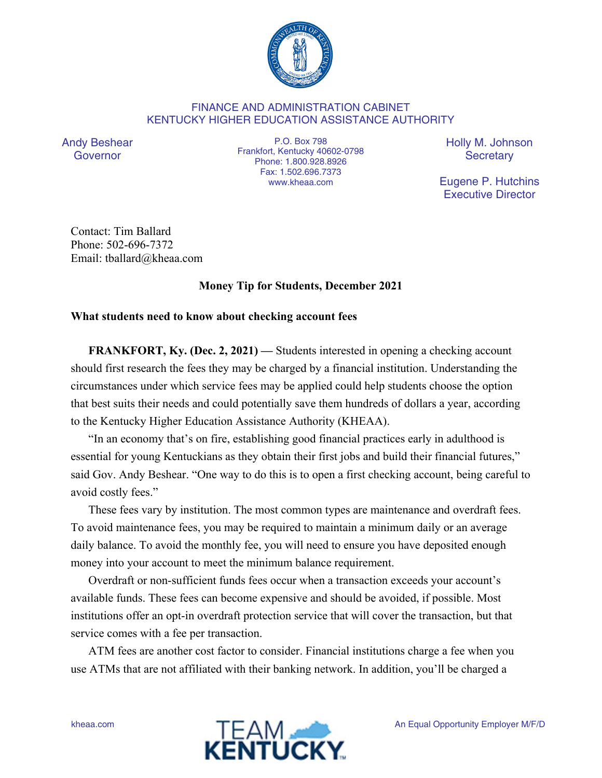

## FINANCE AND ADMINISTRATION CABINET KENTUCKY HIGHER EDUCATION ASSISTANCE AUTHORITY

Andy Beshear Governor

P.O. Box 798 Frankfort, Kentucky 40602-0798 Phone: 1.800.928.8926 Fax: 1.502.696.7373 www.kheaa.com

Holly M. Johnson **Secretary** 

Eugene P. Hutchins Executive Director

Contact: Tim Ballard Phone: 502-696-7372 Email: tballard@kheaa.com

## **Money Tip for Students, December 2021**

## **What students need to know about checking account fees**

**FRANKFORT, Ky. (Dec. 2, 2021)** — Students interested in opening a checking account should first research the fees they may be charged by a financial institution. Understanding the circumstances under which service fees may be applied could help students choose the option that best suits their needs and could potentially save them hundreds of dollars a year, according to the Kentucky Higher Education Assistance Authority (KHEAA).

"In an economy that's on fire, establishing good financial practices early in adulthood is essential for young Kentuckians as they obtain their first jobs and build their financial futures," said Gov. Andy Beshear. "One way to do this is to open a first checking account, being careful to avoid costly fees."

These fees vary by institution. The most common types are maintenance and overdraft fees. To avoid maintenance fees, you may be required to maintain a minimum daily or an average daily balance. To avoid the monthly fee, you will need to ensure you have deposited enough money into your account to meet the minimum balance requirement.

Overdraft or non-sufficient funds fees occur when a transaction exceeds your account's available funds. These fees can become expensive and should be avoided, if possible. Most institutions offer an opt-in overdraft protection service that will cover the transaction, but that service comes with a fee per transaction.

ATM fees are another cost factor to consider. Financial institutions charge a fee when you use ATMs that are not affiliated with their banking network. In addition, you'll be charged a